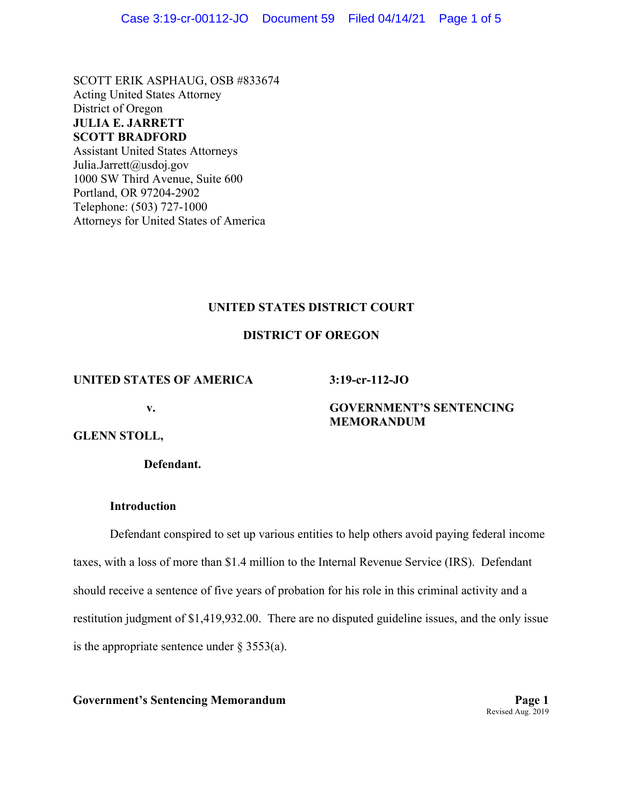SCOTT ERIK ASPHAUG, OSB #833674 Acting United States Attorney District of Oregon **JULIA E. JARRETT SCOTT BRADFORD**  Assistant United States Attorneys Julia.Jarrett@usdoj.gov 1000 SW Third Avenue, Suite 600 Portland, OR 97204-2902 Telephone: (503) 727-1000

Attorneys for United States of America

# **UNITED STATES DISTRICT COURT**

# **DISTRICT OF OREGON**

### **UNITED STATES OF AMERICA**

**3:19-cr-112-JO** 

**v.** 

# **GOVERNMENT'S SENTENCING MEMORANDUM**

# **GLENN STOLL,**

**Defendant.** 

# **Introduction**

Defendant conspired to set up various entities to help others avoid paying federal income taxes, with a loss of more than \$1.4 million to the Internal Revenue Service (IRS). Defendant should receive a sentence of five years of probation for his role in this criminal activity and a restitution judgment of \$1,419,932.00. There are no disputed guideline issues, and the only issue is the appropriate sentence under  $\S$  3553(a).

# **Government's Sentencing Memorandum Page 1**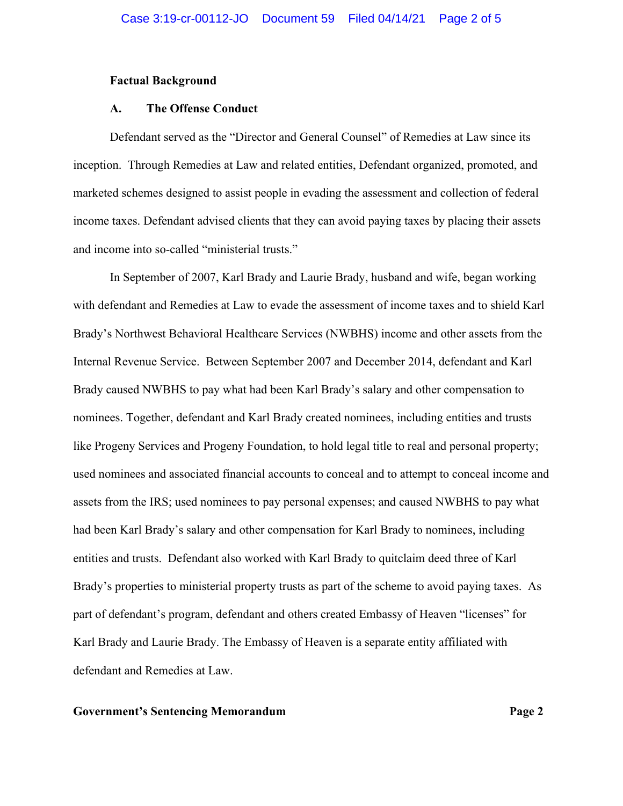### **Factual Background**

#### **A. The Offense Conduct**

Defendant served as the "Director and General Counsel" of Remedies at Law since its inception. Through Remedies at Law and related entities, Defendant organized, promoted, and marketed schemes designed to assist people in evading the assessment and collection of federal income taxes. Defendant advised clients that they can avoid paying taxes by placing their assets and income into so-called "ministerial trusts."

In September of 2007, Karl Brady and Laurie Brady, husband and wife, began working with defendant and Remedies at Law to evade the assessment of income taxes and to shield Karl Brady's Northwest Behavioral Healthcare Services (NWBHS) income and other assets from the Internal Revenue Service. Between September 2007 and December 2014, defendant and Karl Brady caused NWBHS to pay what had been Karl Brady's salary and other compensation to nominees. Together, defendant and Karl Brady created nominees, including entities and trusts like Progeny Services and Progeny Foundation, to hold legal title to real and personal property; used nominees and associated financial accounts to conceal and to attempt to conceal income and assets from the IRS; used nominees to pay personal expenses; and caused NWBHS to pay what had been Karl Brady's salary and other compensation for Karl Brady to nominees, including entities and trusts. Defendant also worked with Karl Brady to quitclaim deed three of Karl Brady's properties to ministerial property trusts as part of the scheme to avoid paying taxes. As part of defendant's program, defendant and others created Embassy of Heaven "licenses" for Karl Brady and Laurie Brady. The Embassy of Heaven is a separate entity affiliated with defendant and Remedies at Law.

### **Government's Sentencing Memorandum Page 2**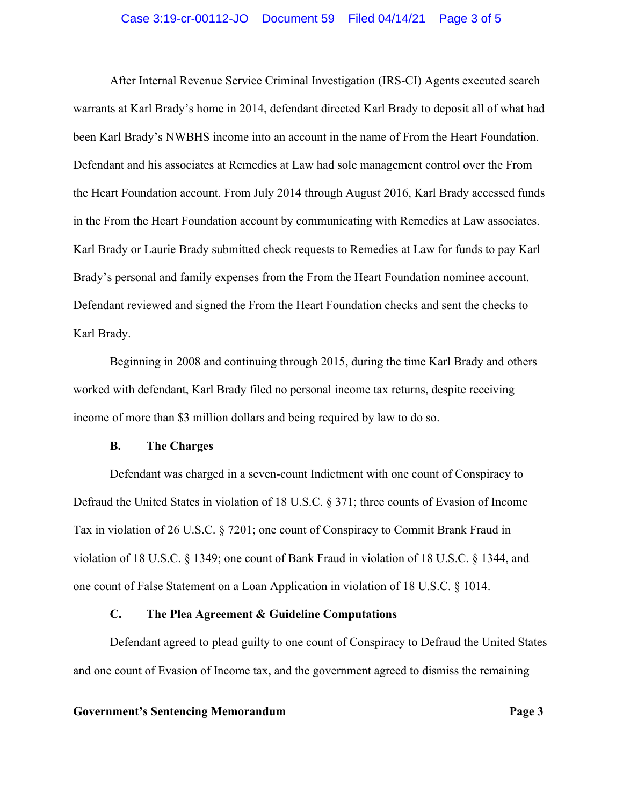### Case 3:19-cr-00112-JO Document 59 Filed 04/14/21 Page 3 of 5

After Internal Revenue Service Criminal Investigation (IRS-CI) Agents executed search warrants at Karl Brady's home in 2014, defendant directed Karl Brady to deposit all of what had been Karl Brady's NWBHS income into an account in the name of From the Heart Foundation. Defendant and his associates at Remedies at Law had sole management control over the From the Heart Foundation account. From July 2014 through August 2016, Karl Brady accessed funds in the From the Heart Foundation account by communicating with Remedies at Law associates. Karl Brady or Laurie Brady submitted check requests to Remedies at Law for funds to pay Karl Brady's personal and family expenses from the From the Heart Foundation nominee account. Defendant reviewed and signed the From the Heart Foundation checks and sent the checks to Karl Brady.

Beginning in 2008 and continuing through 2015, during the time Karl Brady and others worked with defendant, Karl Brady filed no personal income tax returns, despite receiving income of more than \$3 million dollars and being required by law to do so.

# **B. The Charges**

Defendant was charged in a seven-count Indictment with one count of Conspiracy to Defraud the United States in violation of 18 U.S.C. § 371; three counts of Evasion of Income Tax in violation of 26 U.S.C. § 7201; one count of Conspiracy to Commit Brank Fraud in violation of 18 U.S.C. § 1349; one count of Bank Fraud in violation of 18 U.S.C. § 1344, and one count of False Statement on a Loan Application in violation of 18 U.S.C. § 1014.

### **C. The Plea Agreement & Guideline Computations**

Defendant agreed to plead guilty to one count of Conspiracy to Defraud the United States and one count of Evasion of Income tax, and the government agreed to dismiss the remaining

#### **Government's Sentencing Memorandum Page 3**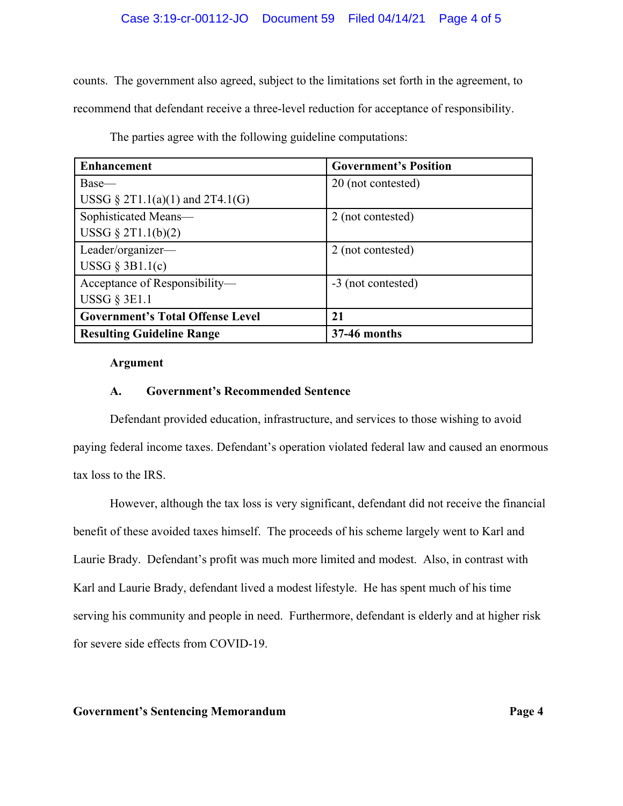# Case 3:19-cr-00112-JO Document 59 Filed 04/14/21 Page 4 of 5

counts. The government also agreed, subject to the limitations set forth in the agreement, to recommend that defendant receive a three-level reduction for acceptance of responsibility.

| <b>Enhancement</b>                      | <b>Government's Position</b> |
|-----------------------------------------|------------------------------|
| Base—                                   | 20 (not contested)           |
| USSG $\S 2T1.1(a)(1)$ and $2T4.1(G)$    |                              |
| Sophisticated Means-                    | 2 (not contested)            |
| USSG $\S 2T1.1(b)(2)$                   |                              |
| Leader/organizer-                       | 2 (not contested)            |
| USSG $\S$ 3B1.1(c)                      |                              |
| Acceptance of Responsibility-           | -3 (not contested)           |
| USSG $\S$ 3E1.1                         |                              |
| <b>Government's Total Offense Level</b> | 21                           |
| <b>Resulting Guideline Range</b>        | 37-46 months                 |

The parties agree with the following guideline computations:

#### **Argument**

# **A. Government's Recommended Sentence**

Defendant provided education, infrastructure, and services to those wishing to avoid paying federal income taxes. Defendant's operation violated federal law and caused an enormous tax loss to the IRS.

 However, although the tax loss is very significant, defendant did not receive the financial benefit of these avoided taxes himself. The proceeds of his scheme largely went to Karl and Laurie Brady. Defendant's profit was much more limited and modest. Also, in contrast with Karl and Laurie Brady, defendant lived a modest lifestyle. He has spent much of his time serving his community and people in need. Furthermore, defendant is elderly and at higher risk for severe side effects from COVID-19.